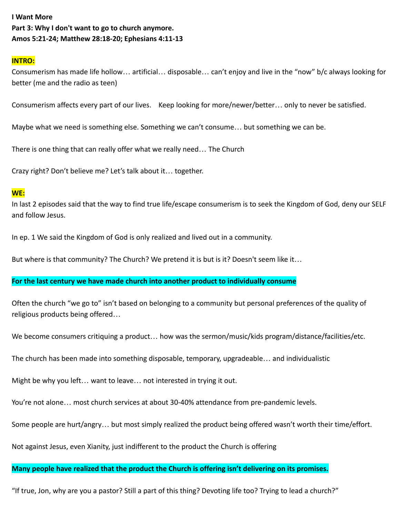# **I Want More Part 3: Why I don't want to go to church anymore. Amos 5:21-24; Matthew 28:18-20; Ephesians 4:11-13**

### **INTRO:**

Consumerism has made life hollow… artificial… disposable… can't enjoy and live in the "now" b/c always looking for better (me and the radio as teen)

Consumerism affects every part of our lives. Keep looking for more/newer/better… only to never be satisfied.

Maybe what we need is something else. Something we can't consume… but something we can be.

There is one thing that can really offer what we really need… The Church

Crazy right? Don't believe me? Let's talk about it… together.

### **WE:**

In last 2 episodes said that the way to find true life/escape consumerism is to seek the Kingdom of God, deny our SELF and follow Jesus.

In ep. 1 We said the Kingdom of God is only realized and lived out in a community.

But where is that community? The Church? We pretend it is but is it? Doesn't seem like it…

### **For the last century we have made church into another product to individually consume**

Often the church "we go to" isn't based on belonging to a community but personal preferences of the quality of religious products being offered…

We become consumers critiquing a product… how was the sermon/music/kids program/distance/facilities/etc.

The church has been made into something disposable, temporary, upgradeable… and individualistic

Might be why you left… want to leave… not interested in trying it out.

You're not alone… most church services at about 30-40% attendance from pre-pandemic levels.

Some people are hurt/angry… but most simply realized the product being offered wasn't worth their time/effort.

Not against Jesus, even Xianity, just indifferent to the product the Church is offering

## **Many people have realized that the product the Church is offering isn't delivering on its promises.**

"If true, Jon, why are you a pastor? Still a part of this thing? Devoting life too? Trying to lead a church?"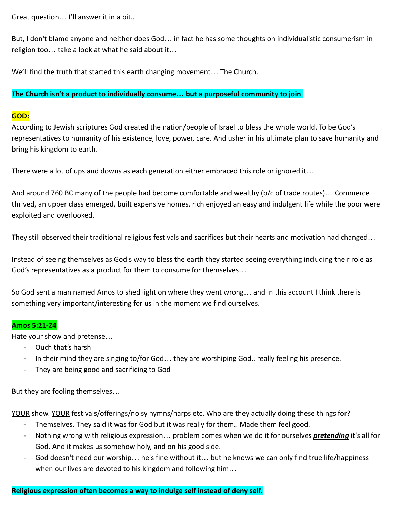Great question… I'll answer it in a bit..

But, I don't blame anyone and neither does God… in fact he has some thoughts on individualistic consumerism in religion too… take a look at what he said about it…

We'll find the truth that started this earth changing movement… The Church.

## **The Church isn't a product to individually consume… but a purposeful community to join**.

## **GOD:**

According to Jewish scriptures God created the nation/people of Israel to bless the whole world. To be God's representatives to humanity of his existence, love, power, care. And usher in his ultimate plan to save humanity and bring his kingdom to earth.

There were a lot of ups and downs as each generation either embraced this role or ignored it…

And around 760 BC many of the people had become comfortable and wealthy (b/c of trade routes).... Commerce thrived, an upper class emerged, built expensive homes, rich enjoyed an easy and indulgent life while the poor were exploited and overlooked.

They still observed their traditional religious festivals and sacrifices but their hearts and motivation had changed…

Instead of seeing themselves as God's way to bless the earth they started seeing everything including their role as God's representatives as a product for them to consume for themselves…

So God sent a man named Amos to shed light on where they went wrong… and in this account I think there is something very important/interesting for us in the moment we find ourselves.

## **Amos 5:21-24**

Hate your show and pretense…

- Ouch that's harsh
- In their mind they are singing to/for God… they are worshiping God.. really feeling his presence.
- They are being good and sacrificing to God

But they are fooling themselves…

YOUR show. YOUR festivals/offerings/noisy hymns/harps etc. Who are they actually doing these things for?

- Themselves. They said it was for God but it was really for them.. Made them feel good.
- Nothing wrong with religious expression… problem comes when we do it for ourselves *pretending* it's all for God. And it makes us somehow holy, and on his good side.
- God doesn't need our worship... he's fine without it... but he knows we can only find true life/happiness when our lives are devoted to his kingdom and following him…

## **Religious expression often becomes a way to indulge self instead of deny self.**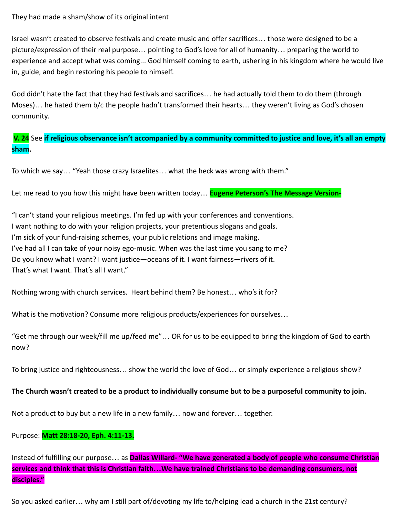## They had made a sham/show of its original intent

Israel wasn't created to observe festivals and create music and offer sacrifices… those were designed to be a picture/expression of their real purpose… pointing to God's love for all of humanity… preparing the world to experience and accept what was coming... God himself coming to earth, ushering in his kingdom where he would live in, guide, and begin restoring his people to himself.

God didn't hate the fact that they had festivals and sacrifices… he had actually told them to do them (through Moses)… he hated them b/c the people hadn't transformed their hearts… they weren't living as God's chosen community.

**V. 24** See **if religious observance isn't accompanied by a community committed to justice and love, it's all an empty sham.**

To which we say… "Yeah those crazy Israelites… what the heck was wrong with them."

Let me read to you how this might have been written today… **Eugene Peterson's The Message Version-**

"I can't stand your religious meetings. I'm fed up with your conferences and conventions. I want nothing to do with your religion projects, your pretentious slogans and goals. I'm sick of your fund-raising schemes, your public relations and image making. I've had all I can take of your noisy ego-music. When was the last time you sang to me? Do you know what I want? I want justice—oceans of it. I want fairness—rivers of it. That's what I want. That's all I want."

Nothing wrong with church services. Heart behind them? Be honest… who's it for?

What is the motivation? Consume more religious products/experiences for ourselves…

"Get me through our week/fill me up/feed me"… OR for us to be equipped to bring the kingdom of God to earth now?

To bring justice and righteousness… show the world the love of God… or simply experience a religious show?

## **The Church wasn't created to be a product to individually consume but to be a purposeful community to join.**

Not a product to buy but a new life in a new family… now and forever… together.

## Purpose: **Matt 28:18-20, Eph. 4:11-13.**

Instead of fulfilling our purpose… as **Dallas Willard- "We have generated a body of people who consume Christian services and think that this is Christian faith…We have trained Christians to be demanding consumers, not disciples."**

So you asked earlier… why am I still part of/devoting my life to/helping lead a church in the 21st century?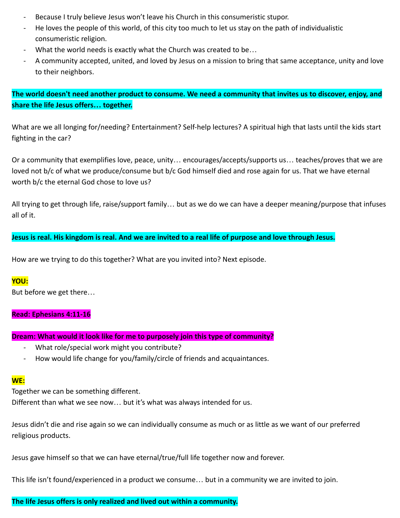- Because I truly believe Jesus won't leave his Church in this consumeristic stupor.
- He loves the people of this world, of this city too much to let us stay on the path of individualistic consumeristic religion.
- What the world needs is exactly what the Church was created to be...
- A community accepted, united, and loved by Jesus on a mission to bring that same acceptance, unity and love to their neighbors.

**The world doesn't need another product to consume. We need a community that invites us to discover, enjoy, and share the life Jesus offers… together.**

What are we all longing for/needing? Entertainment? Self-help lectures? A spiritual high that lasts until the kids start fighting in the car?

Or a community that exemplifies love, peace, unity… encourages/accepts/supports us… teaches/proves that we are loved not b/c of what we produce/consume but b/c God himself died and rose again for us. That we have eternal worth b/c the eternal God chose to love us?

All trying to get through life, raise/support family… but as we do we can have a deeper meaning/purpose that infuses all of it.

**Jesus is real. His kingdom is real. And we are invited to a real life of purpose and love through Jesus.**

How are we trying to do this together? What are you invited into? Next episode.

## **YOU:**

But before we get there…

## **Read: Ephesians 4:11-16**

### **Dream: What would it look like for me to purposely join this type of community?**

- What role/special work might you contribute?
- How would life change for you/family/circle of friends and acquaintances.

### **WE:**

Together we can be something different.

Different than what we see now… but it's what was always intended for us.

Jesus didn't die and rise again so we can individually consume as much or as little as we want of our preferred religious products.

Jesus gave himself so that we can have eternal/true/full life together now and forever.

This life isn't found/experienced in a product we consume… but in a community we are invited to join.

## **The life Jesus offers is only realized and lived out within a community.**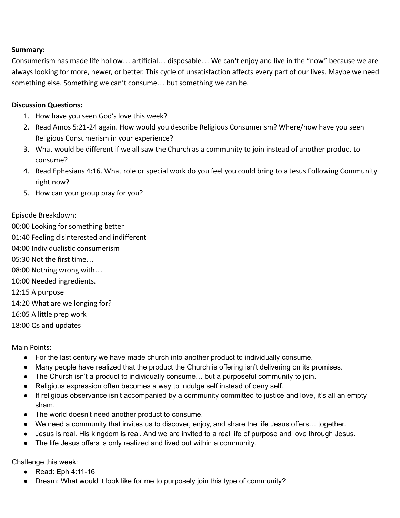## **Summary:**

Consumerism has made life hollow… artificial… disposable… We can't enjoy and live in the "now" because we are always looking for more, newer, or better. This cycle of unsatisfaction affects every part of our lives. Maybe we need something else. Something we can't consume… but something we can be.

## **Discussion Questions:**

- 1. How have you seen God's love this week?
- 2. Read Amos 5:21-24 again. How would you describe Religious Consumerism? Where/how have you seen Religious Consumerism in your experience?
- 3. What would be different if we all saw the Church as a community to join instead of another product to consume?
- 4. Read Ephesians 4:16. What role or special work do you feel you could bring to a Jesus Following Community right now?
- 5. How can your group pray for you?

## Episode Breakdown:

- 00:00 Looking for something better
- 01:40 Feeling disinterested and indifferent
- 04:00 Individualistic consumerism
- 05:30 Not the first time…
- 08:00 Nothing wrong with…
- 10:00 Needed ingredients.
- 12:15 A purpose
- 14:20 What are we longing for?
- 16:05 A little prep work
- 18:00 Qs and updates

Main Points:

- For the last century we have made church into another product to individually consume.
- Many people have realized that the product the Church is offering isn't delivering on its promises.
- The Church isn't a product to individually consume… but a purposeful community to join.
- Religious expression often becomes a way to indulge self instead of deny self.
- If religious observance isn't accompanied by a community committed to justice and love, it's all an empty sham.
- The world doesn't need another product to consume.
- We need a community that invites us to discover, enjoy, and share the life Jesus offers… together.
- Jesus is real. His kingdom is real. And we are invited to a real life of purpose and love through Jesus.
- The life Jesus offers is only realized and lived out within a community.

Challenge this week:

- Read: Eph 4:11-16
- Dream: What would it look like for me to purposely join this type of community?